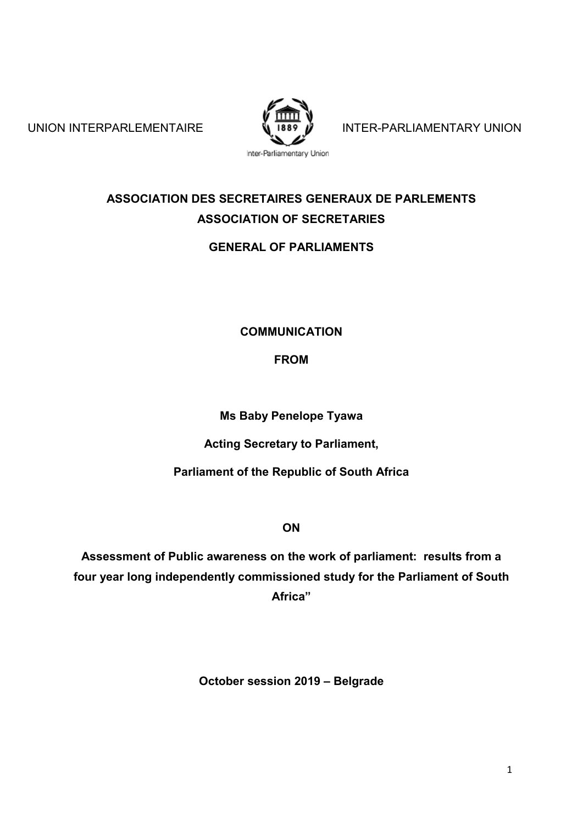

UNION INTERPARLEMENTAIRE  $\frac{1}{2}$  1889 M INTER-PARLIAMENTARY UNION

# **ASSOCIATION DES SECRETAIRES GENERAUX DE PARLEMENTS ASSOCIATION OF SECRETARIES**

# **GENERAL OF PARLIAMENTS**

## **COMMUNICATION**

**FROM**

**Ms Baby Penelope Tyawa**

**Acting Secretary to Parliament,**

**Parliament of the Republic of South Africa**

**ON**

**Assessment of Public awareness on the work of parliament: results from a four year long independently commissioned study for the Parliament of South Africa"**

**October session 2019 – Belgrade**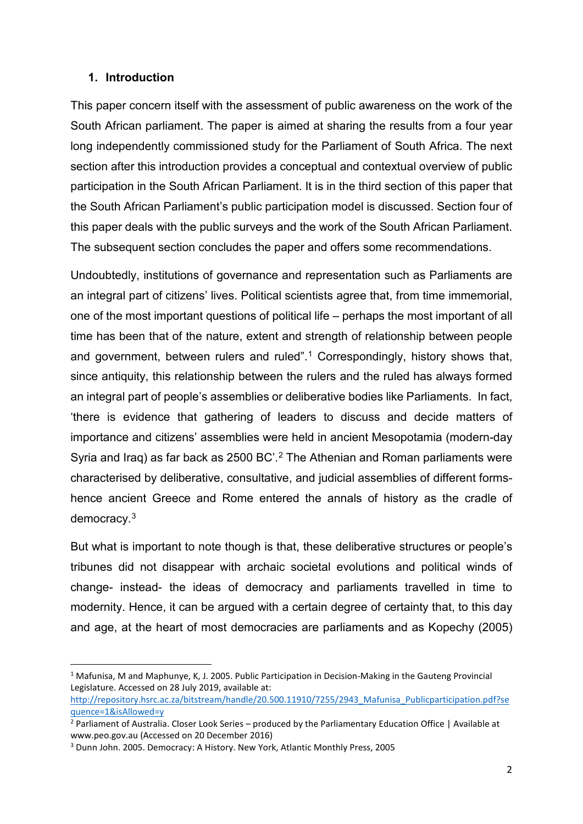#### **1. Introduction**

This paper concern itself with the assessment of public awareness on the work of the South African parliament. The paper is aimed at sharing the results from a four year long independently commissioned study for the Parliament of South Africa. The next section after this introduction provides a conceptual and contextual overview of public participation in the South African Parliament. It is in the third section of this paper that the South African Parliament's public participation model is discussed. Section four of this paper deals with the public surveys and the work of the South African Parliament. The subsequent section concludes the paper and offers some recommendations.

Undoubtedly, institutions of governance and representation such as Parliaments are an integral part of citizens' lives. Political scientists agree that, from time immemorial, one of the most important questions of political life – perhaps the most important of all time has been that of the nature, extent and strength of relationship between people and government, between rulers and ruled".<sup>[1](#page-1-0)</sup> Correspondingly, history shows that, since antiquity, this relationship between the rulers and the ruled has always formed an integral part of people's assemblies or deliberative bodies like Parliaments. In fact, 'there is evidence that gathering of leaders to discuss and decide matters of importance and citizens' assemblies were held in ancient Mesopotamia (modern-day Syria and Iraq) as far back as 2500 BC'.[2](#page-1-1) The Athenian and Roman parliaments were characterised by deliberative, consultative, and judicial assemblies of different formshence ancient Greece and Rome entered the annals of history as the cradle of democracy. [3](#page-1-2)

But what is important to note though is that, these deliberative structures or people's tribunes did not disappear with archaic societal evolutions and political winds of change- instead- the ideas of democracy and parliaments travelled in time to modernity. Hence, it can be argued with a certain degree of certainty that, to this day and age, at the heart of most democracies are parliaments and as Kopechy (2005)

<span id="page-1-0"></span><sup>&</sup>lt;sup>1</sup> Mafunisa, M and Maphunye, K, J. 2005. Public Participation in Decision-Making in the Gauteng Provincial Legislature. Accessed on 28 July 2019, available at:

[http://repository.hsrc.ac.za/bitstream/handle/20.500.11910/7255/2943\\_Mafunisa\\_Publicparticipation.pdf?se](http://repository.hsrc.ac.za/bitstream/handle/20.500.11910/7255/2943_Mafunisa_Publicparticipation.pdf?sequence=1&isAllowed=y) [quence=1&isAllowed=y](http://repository.hsrc.ac.za/bitstream/handle/20.500.11910/7255/2943_Mafunisa_Publicparticipation.pdf?sequence=1&isAllowed=y)

<span id="page-1-1"></span><sup>&</sup>lt;sup>2</sup> Parliament of Australia. Closer Look Series – produced by the Parliamentary Education Office | Available at www.peo.gov.au (Accessed on 20 December 2016)

<span id="page-1-2"></span><sup>3</sup> Dunn John. 2005. Democracy: A History. New York, Atlantic Monthly Press, 2005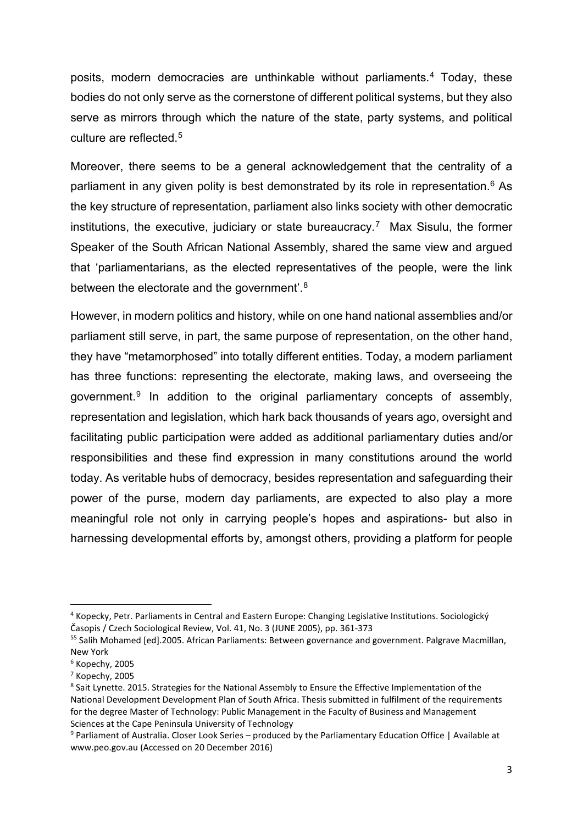posits, modern democracies are unthinkable without parliaments.[4](#page-2-0) Today, these bodies do not only serve as the cornerstone of different political systems, but they also serve as mirrors through which the nature of the state, party systems, and political culture are reflected.<sup>[5](#page-2-1)</sup>

Moreover, there seems to be a general acknowledgement that the centrality of a parliament in any given polity is best demonstrated by its role in representation.<sup>[6](#page-2-2)</sup> As the key structure of representation, parliament also links society with other democratic institutions, the executive, judiciary or state bureaucracy.<sup>7</sup> Max Sisulu, the former Speaker of the South African National Assembly, shared the same view and argued that 'parliamentarians, as the elected representatives of the people, were the link between the electorate and the government'.<sup>[8](#page-2-4)</sup>

However, in modern politics and history, while on one hand national assemblies and/or parliament still serve, in part, the same purpose of representation, on the other hand, they have "metamorphosed" into totally different entities. Today, a modern parliament has three functions: representing the electorate, making laws, and overseeing the government.[9](#page-2-5) In addition to the original parliamentary concepts of assembly, representation and legislation, which hark back thousands of years ago, oversight and facilitating public participation were added as additional parliamentary duties and/or responsibilities and these find expression in many constitutions around the world today. As veritable hubs of democracy, besides representation and safeguarding their power of the purse, modern day parliaments, are expected to also play a more meaningful role not only in carrying people's hopes and aspirations- but also in harnessing developmental efforts by, amongst others, providing a platform for people

<span id="page-2-0"></span> <sup>4</sup> Kopecky, Petr. Parliaments in Central and Eastern Europe: Changing Legislative Institutions. Sociologický Časopis / Czech Sociological Review, Vol. 41, No. 3 (JUNE 2005), pp. 361-373

<span id="page-2-1"></span><sup>&</sup>lt;sup>55</sup> Salih Mohamed [ed].2005. African Parliaments: Between governance and government. Palgrave Macmillan, New York

<span id="page-2-2"></span> $6$  Kopechy, 2005

<span id="page-2-3"></span><sup>7</sup> Kopechy, 2005

<span id="page-2-4"></span><sup>&</sup>lt;sup>8</sup> Sait Lynette. 2015. Strategies for the National Assembly to Ensure the Effective Implementation of the National Development Development Plan of South Africa. Thesis submitted in fulfilment of the requirements for the degree Master of Technology: Public Management in the Faculty of Business and Management Sciences at the Cape Peninsula University of Technology

<span id="page-2-5"></span><sup>9</sup> Parliament of Australia. Closer Look Series – produced by the Parliamentary Education Office | Available at www.peo.gov.au (Accessed on 20 December 2016)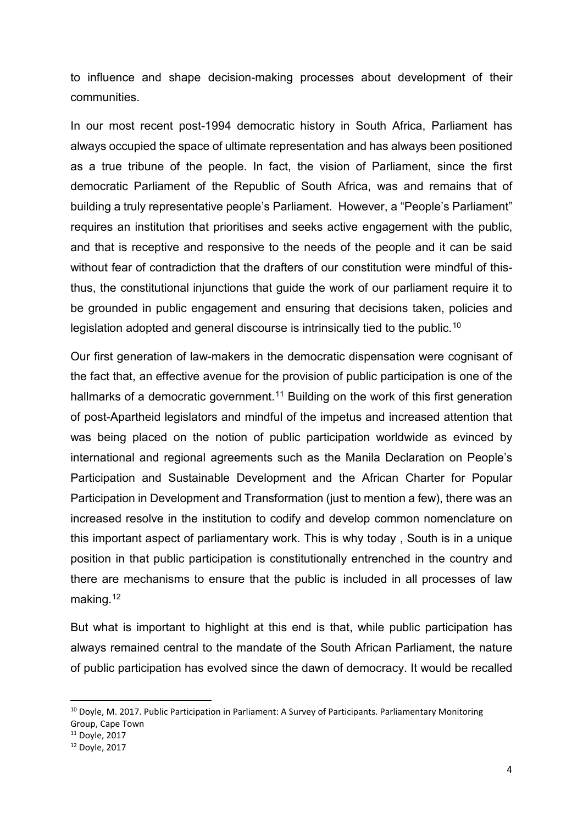to influence and shape decision-making processes about development of their communities.

In our most recent post-1994 democratic history in South Africa, Parliament has always occupied the space of ultimate representation and has always been positioned as a true tribune of the people. In fact, the vision of Parliament, since the first democratic Parliament of the Republic of South Africa, was and remains that of building a truly representative people's Parliament. However, a "People's Parliament" requires an institution that prioritises and seeks active engagement with the public, and that is receptive and responsive to the needs of the people and it can be said without fear of contradiction that the drafters of our constitution were mindful of thisthus, the constitutional injunctions that guide the work of our parliament require it to be grounded in public engagement and ensuring that decisions taken, policies and legislation adopted and general discourse is intrinsically tied to the public.<sup>[10](#page-3-0)</sup>

Our first generation of law-makers in the democratic dispensation were cognisant of the fact that, an effective avenue for the provision of public participation is one of the hallmarks of a democratic government.<sup>[11](#page-3-1)</sup> Building on the work of this first generation of post-Apartheid legislators and mindful of the impetus and increased attention that was being placed on the notion of public participation worldwide as evinced by international and regional agreements such as the Manila Declaration on People's Participation and Sustainable Development and the African Charter for Popular Participation in Development and Transformation (just to mention a few), there was an increased resolve in the institution to codify and develop common nomenclature on this important aspect of parliamentary work. This is why today , South is in a unique position in that public participation is constitutionally entrenched in the country and there are mechanisms to ensure that the public is included in all processes of law making. [12](#page-3-2)

But what is important to highlight at this end is that, while public participation has always remained central to the mandate of the South African Parliament, the nature of public participation has evolved since the dawn of democracy. It would be recalled

<span id="page-3-0"></span><sup>&</sup>lt;sup>10</sup> Doyle, M. 2017. Public Participation in Parliament: A Survey of Participants. Parliamentary Monitoring Group, Cape Town

<span id="page-3-1"></span><sup>11</sup> Doyle, 2017

<span id="page-3-2"></span><sup>12</sup> Doyle, 2017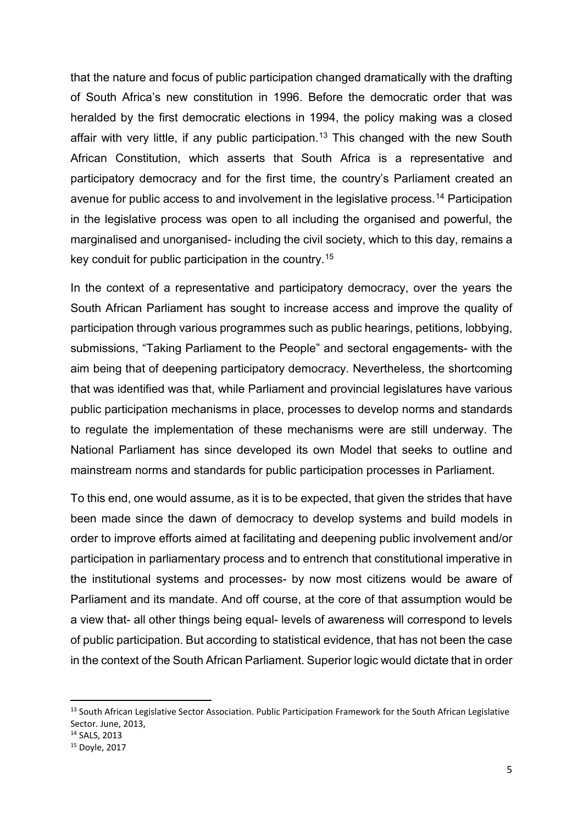that the nature and focus of public participation changed dramatically with the drafting of South Africa's new constitution in 1996. Before the democratic order that was heralded by the first democratic elections in 1994, the policy making was a closed affair with very little, if any public participation.<sup>[13](#page-4-0)</sup> This changed with the new South African Constitution, which asserts that South Africa is a representative and participatory democracy and for the first time, the country's Parliament created an avenue for public access to and involvement in the legislative process.[14](#page-4-1) Participation in the legislative process was open to all including the organised and powerful, the marginalised and unorganised- including the civil society, which to this day, remains a key conduit for public participation in the country.[15](#page-4-2)

In the context of a representative and participatory democracy, over the years the South African Parliament has sought to increase access and improve the quality of participation through various programmes such as public hearings, petitions, lobbying, submissions, "Taking Parliament to the People" and sectoral engagements- with the aim being that of deepening participatory democracy. Nevertheless, the shortcoming that was identified was that, while Parliament and provincial legislatures have various public participation mechanisms in place, processes to develop norms and standards to regulate the implementation of these mechanisms were are still underway. The National Parliament has since developed its own Model that seeks to outline and mainstream norms and standards for public participation processes in Parliament.

To this end, one would assume, as it is to be expected, that given the strides that have been made since the dawn of democracy to develop systems and build models in order to improve efforts aimed at facilitating and deepening public involvement and/or participation in parliamentary process and to entrench that constitutional imperative in the institutional systems and processes- by now most citizens would be aware of Parliament and its mandate. And off course, at the core of that assumption would be a view that- all other things being equal- levels of awareness will correspond to levels of public participation. But according to statistical evidence, that has not been the case in the context of the South African Parliament. Superior logic would dictate that in order

<span id="page-4-0"></span><sup>&</sup>lt;sup>13</sup> South African Legislative Sector Association. Public Participation Framework for the South African Legislative Sector. June, 2013,

<span id="page-4-1"></span><sup>14</sup> SALS, 2013

<span id="page-4-2"></span><sup>15</sup> Doyle, 2017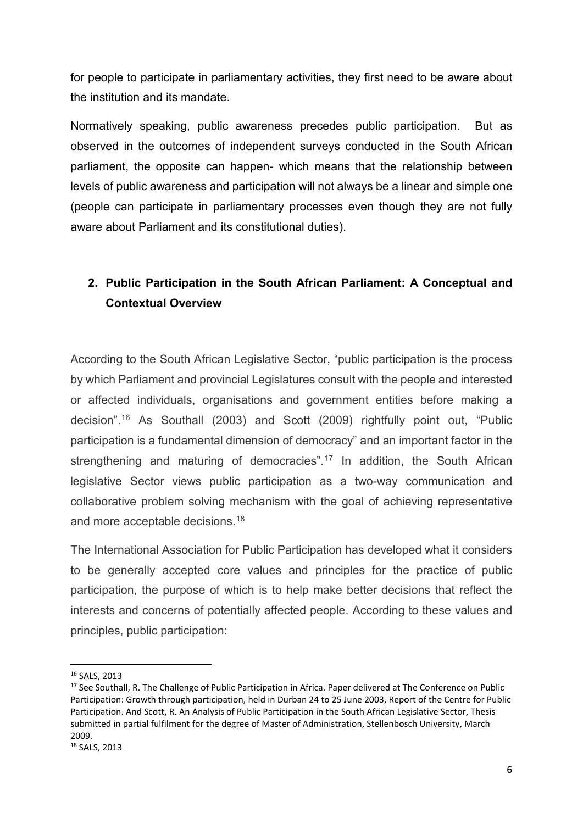for people to participate in parliamentary activities, they first need to be aware about the institution and its mandate.

Normatively speaking, public awareness precedes public participation. But as observed in the outcomes of independent surveys conducted in the South African parliament, the opposite can happen- which means that the relationship between levels of public awareness and participation will not always be a linear and simple one (people can participate in parliamentary processes even though they are not fully aware about Parliament and its constitutional duties).

# **2. Public Participation in the South African Parliament: A Conceptual and Contextual Overview**

According to the South African Legislative Sector, "public participation is the process by which Parliament and provincial Legislatures consult with the people and interested or affected individuals, organisations and government entities before making a decision".[16](#page-5-0) As Southall (2003) and Scott (2009) rightfully point out, "Public participation is a fundamental dimension of democracy" and an important factor in the strengthening and maturing of democracies".<sup>[17](#page-5-1)</sup> In addition, the South African legislative Sector views public participation as a two-way communication and collaborative problem solving mechanism with the goal of achieving representative and more acceptable decisions. [18](#page-5-2)

The International Association for Public Participation has developed what it considers to be generally accepted core values and principles for the practice of public participation, the purpose of which is to help make better decisions that reflect the interests and concerns of potentially affected people. According to these values and principles, public participation:

<span id="page-5-0"></span> <sup>16</sup> SALS, 2013

<span id="page-5-2"></span><span id="page-5-1"></span><sup>&</sup>lt;sup>17</sup> See Southall, R. The Challenge of Public Participation in Africa. Paper delivered at The Conference on Public Participation: Growth through participation, held in Durban 24 to 25 June 2003, Report of the Centre for Public Participation. And Scott, R. An Analysis of Public Participation in the South African Legislative Sector, Thesis submitted in partial fulfilment for the degree of Master of Administration, Stellenbosch University, March 2009.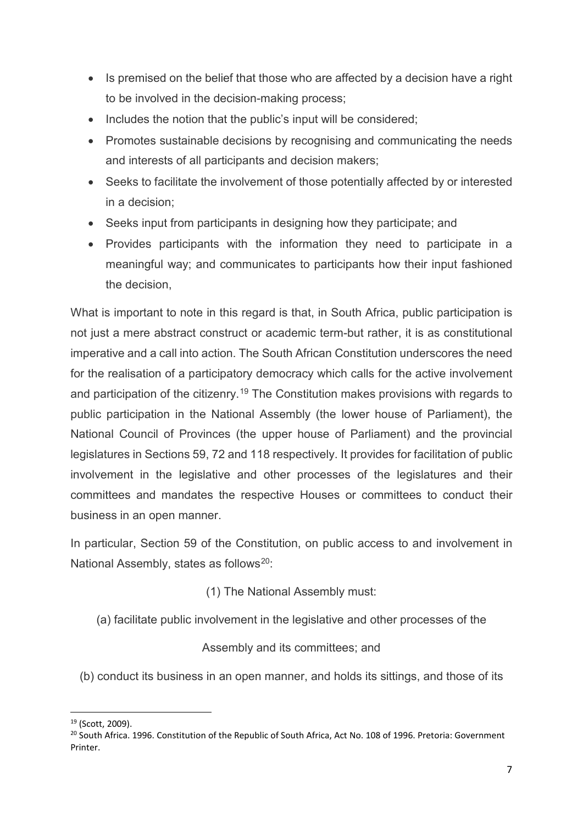- Is premised on the belief that those who are affected by a decision have a right to be involved in the decision-making process;
- Includes the notion that the public's input will be considered;
- Promotes sustainable decisions by recognising and communicating the needs and interests of all participants and decision makers;
- Seeks to facilitate the involvement of those potentially affected by or interested in a decision;
- Seeks input from participants in designing how they participate; and
- Provides participants with the information they need to participate in a meaningful way; and communicates to participants how their input fashioned the decision,

What is important to note in this regard is that, in South Africa, public participation is not just a mere abstract construct or academic term-but rather, it is as constitutional imperative and a call into action. The South African Constitution underscores the need for the realisation of a participatory democracy which calls for the active involvement and participation of the citizenry.[19](#page-6-0) The Constitution makes provisions with regards to public participation in the National Assembly (the lower house of Parliament), the National Council of Provinces (the upper house of Parliament) and the provincial legislatures in Sections 59, 72 and 118 respectively. It provides for facilitation of public involvement in the legislative and other processes of the legislatures and their committees and mandates the respective Houses or committees to conduct their business in an open manner.

In particular, Section 59 of the Constitution, on public access to and involvement in National Assembly, states as follows<sup>20</sup>:

(1) The National Assembly must:

(a) facilitate public involvement in the legislative and other processes of the

Assembly and its committees; and

(b) conduct its business in an open manner, and holds its sittings, and those of its

<span id="page-6-0"></span> <sup>19</sup> (Scott, 2009).

<span id="page-6-1"></span><sup>&</sup>lt;sup>20</sup> South Africa. 1996. Constitution of the Republic of South Africa, Act No. 108 of 1996. Pretoria: Government Printer.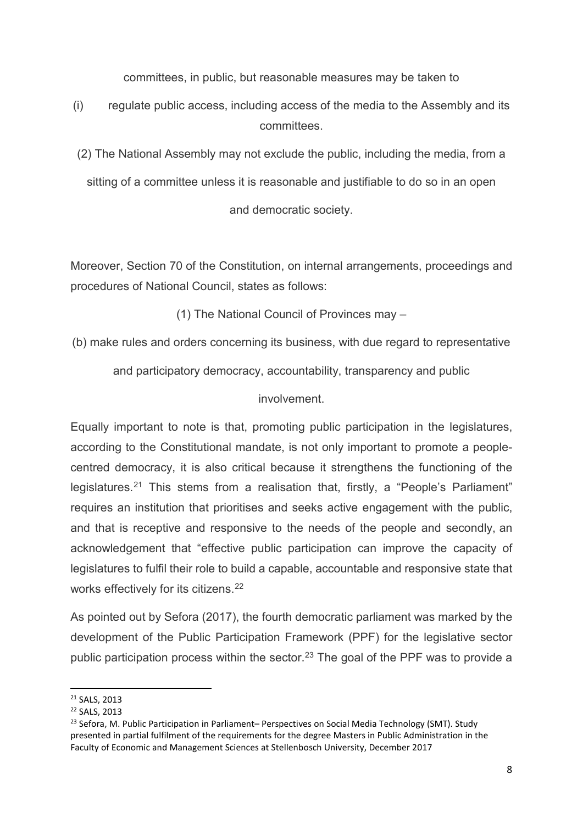committees, in public, but reasonable measures may be taken to

(i) regulate public access, including access of the media to the Assembly and its committees.

(2) The National Assembly may not exclude the public, including the media, from a sitting of a committee unless it is reasonable and justifiable to do so in an open

and democratic society.

Moreover, Section 70 of the Constitution, on internal arrangements, proceedings and procedures of National Council, states as follows:

(1) The National Council of Provinces may –

(b) make rules and orders concerning its business, with due regard to representative

and participatory democracy, accountability, transparency and public

involvement.

Equally important to note is that, promoting public participation in the legislatures, according to the Constitutional mandate, is not only important to promote a peoplecentred democracy, it is also critical because it strengthens the functioning of the legislatures.<sup>[21](#page-7-0)</sup> This stems from a realisation that, firstly, a "People's Parliament" requires an institution that prioritises and seeks active engagement with the public, and that is receptive and responsive to the needs of the people and secondly, an acknowledgement that "effective public participation can improve the capacity of legislatures to fulfil their role to build a capable, accountable and responsive state that works effectively for its citizens.<sup>[22](#page-7-1)</sup>

As pointed out by Sefora (2017), the fourth democratic parliament was marked by the development of the Public Participation Framework (PPF) for the legislative sector public participation process within the sector. [23](#page-7-2) The goal of the PPF was to provide a

<span id="page-7-0"></span> <sup>21</sup> SALS, 2013

<span id="page-7-1"></span><sup>22</sup> SALS, 2013

<span id="page-7-2"></span><sup>&</sup>lt;sup>23</sup> Sefora, M. Public Participation in Parliament– Perspectives on Social Media Technology (SMT). Study presented in partial fulfilment of the requirements for the degree Masters in Public Administration in the Faculty of Economic and Management Sciences at Stellenbosch University, December 2017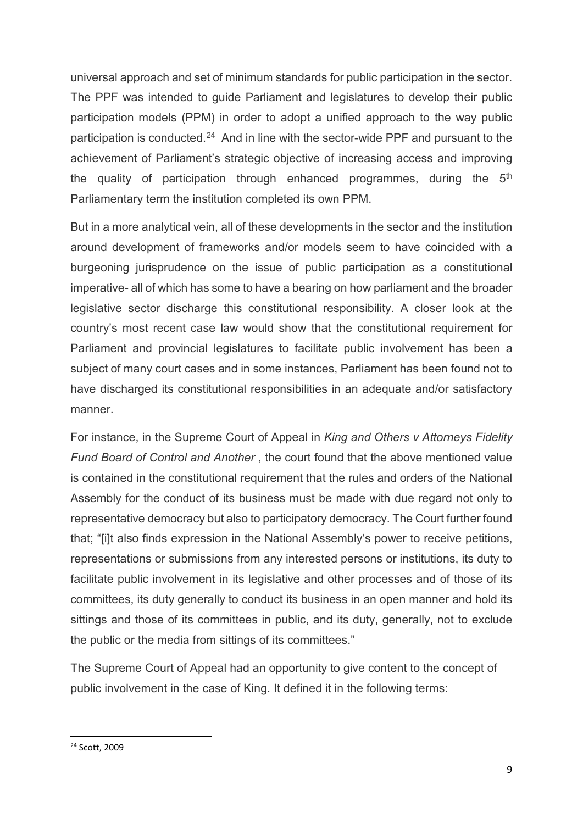universal approach and set of minimum standards for public participation in the sector. The PPF was intended to guide Parliament and legislatures to develop their public participation models (PPM) in order to adopt a unified approach to the way public participation is conducted.<sup>[24](#page-8-0)</sup> And in line with the sector-wide PPF and pursuant to the achievement of Parliament's strategic objective of increasing access and improving the quality of participation through enhanced programmes, during the  $5<sup>th</sup>$ Parliamentary term the institution completed its own PPM.

But in a more analytical vein, all of these developments in the sector and the institution around development of frameworks and/or models seem to have coincided with a burgeoning jurisprudence on the issue of public participation as a constitutional imperative- all of which has some to have a bearing on how parliament and the broader legislative sector discharge this constitutional responsibility. A closer look at the country's most recent case law would show that the constitutional requirement for Parliament and provincial legislatures to facilitate public involvement has been a subject of many court cases and in some instances, Parliament has been found not to have discharged its constitutional responsibilities in an adequate and/or satisfactory manner.

For instance, in the Supreme Court of Appeal in *King and Others v Attorneys Fidelity Fund Board of Control and Another* , the court found that the above mentioned value is contained in the constitutional requirement that the rules and orders of the National Assembly for the conduct of its business must be made with due regard not only to representative democracy but also to participatory democracy. The Court further found that; "[i]t also finds expression in the National Assembly's power to receive petitions, representations or submissions from any interested persons or institutions, its duty to facilitate public involvement in its legislative and other processes and of those of its committees, its duty generally to conduct its business in an open manner and hold its sittings and those of its committees in public, and its duty, generally, not to exclude the public or the media from sittings of its committees."

The Supreme Court of Appeal had an opportunity to give content to the concept of public involvement in the case of King. It defined it in the following terms:

<span id="page-8-0"></span> <sup>24</sup> Scott, 2009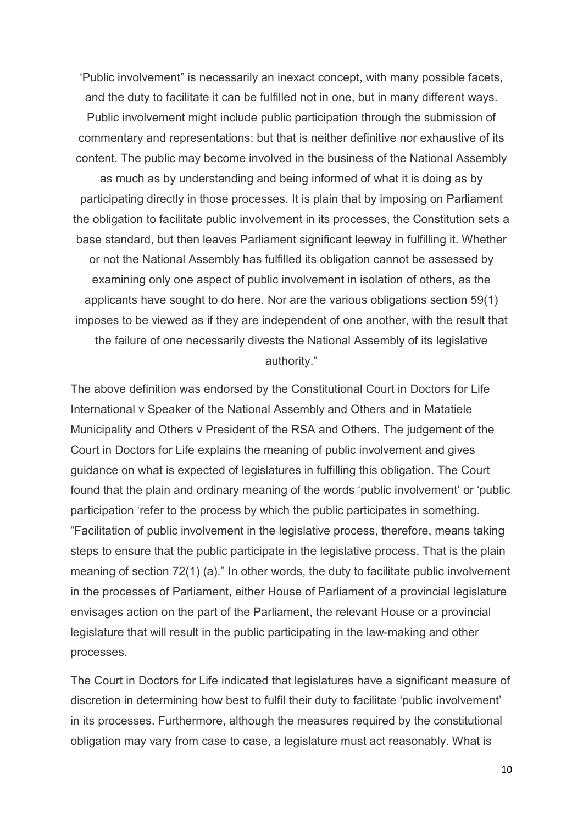'Public involvement" is necessarily an inexact concept, with many possible facets, and the duty to facilitate it can be fulfilled not in one, but in many different ways. Public involvement might include public participation through the submission of commentary and representations: but that is neither definitive nor exhaustive of its content. The public may become involved in the business of the National Assembly

as much as by understanding and being informed of what it is doing as by participating directly in those processes. It is plain that by imposing on Parliament the obligation to facilitate public involvement in its processes, the Constitution sets a base standard, but then leaves Parliament significant leeway in fulfilling it. Whether or not the National Assembly has fulfilled its obligation cannot be assessed by examining only one aspect of public involvement in isolation of others, as the applicants have sought to do here. Nor are the various obligations section 59(1) imposes to be viewed as if they are independent of one another, with the result that the failure of one necessarily divests the National Assembly of its legislative authority."

The above definition was endorsed by the Constitutional Court in Doctors for Life International v Speaker of the National Assembly and Others and in Matatiele Municipality and Others v President of the RSA and Others. The judgement of the Court in Doctors for Life explains the meaning of public involvement and gives guidance on what is expected of legislatures in fulfilling this obligation. The Court found that the plain and ordinary meaning of the words 'public involvement' or 'public participation 'refer to the process by which the public participates in something. "Facilitation of public involvement in the legislative process, therefore, means taking steps to ensure that the public participate in the legislative process. That is the plain meaning of section 72(1) (a)." In other words, the duty to facilitate public involvement in the processes of Parliament, either House of Parliament of a provincial legislature envisages action on the part of the Parliament, the relevant House or a provincial legislature that will result in the public participating in the law-making and other processes.

The Court in Doctors for Life indicated that legislatures have a significant measure of discretion in determining how best to fulfil their duty to facilitate 'public involvement' in its processes. Furthermore, although the measures required by the constitutional obligation may vary from case to case, a legislature must act reasonably. What is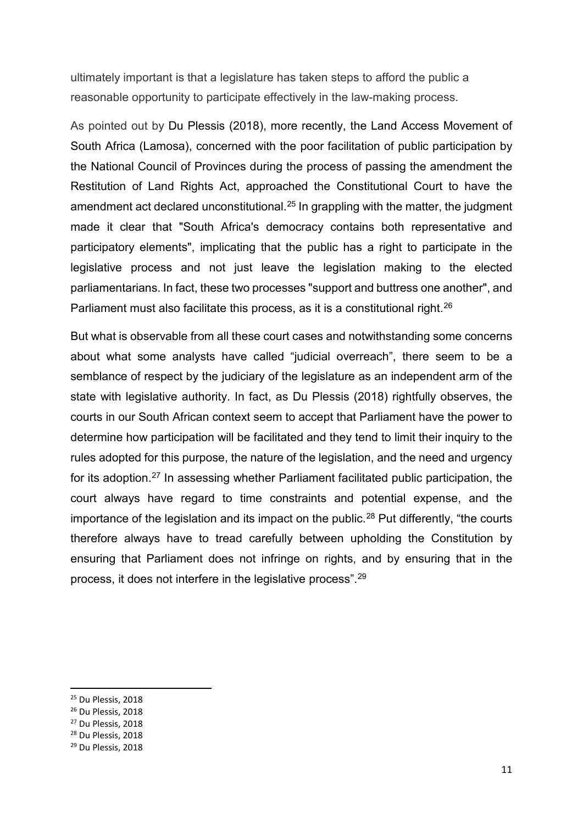ultimately important is that a legislature has taken steps to afford the public a reasonable opportunity to participate effectively in the law-making process.

As pointed out by Du Plessis (2018), more recently, the Land Access Movement of South Africa (Lamosa), concerned with the poor facilitation of public participation by the National Council of Provinces during the process of passing the amendment the Restitution of Land Rights Act, approached the Constitutional Court to have the amendment act declared unconstitutional.<sup>[25](#page-10-0)</sup> In grappling with the matter, the judgment made it clear that "South Africa's democracy contains both representative and participatory elements", implicating that the public has a right to participate in the legislative process and not just leave the legislation making to the elected parliamentarians. In fact, these two processes "support and buttress one another", and Parliament must also facilitate this process, as it is a constitutional right.<sup>[26](#page-10-1)</sup>

But what is observable from all these court cases and notwithstanding some concerns about what some analysts have called "judicial overreach", there seem to be a semblance of respect by the judiciary of the legislature as an independent arm of the state with legislative authority. In fact, as Du Plessis (2018) rightfully observes, the courts in our South African context seem to accept that Parliament have the power to determine how participation will be facilitated and they tend to limit their inquiry to the rules adopted for this purpose, the nature of the legislation, and the need and urgency for its adoption.<sup>[27](#page-10-2)</sup> In assessing whether Parliament facilitated public participation, the court always have regard to time constraints and potential expense, and the importance of the legislation and its impact on the public.<sup>[28](#page-10-3)</sup> Put differently, "the courts therefore always have to tread carefully between upholding the Constitution by ensuring that Parliament does not infringe on rights, and by ensuring that in the process, it does not interfere in the legislative process". [29](#page-10-4)

<span id="page-10-2"></span><sup>27</sup> Du Plessis, 2018

<span id="page-10-0"></span> <sup>25</sup> Du Plessis, 2018

<span id="page-10-1"></span><sup>26</sup> Du Plessis, 2018

<span id="page-10-3"></span><sup>28</sup> Du Plessis, 2018

<span id="page-10-4"></span><sup>29</sup> Du Plessis, 2018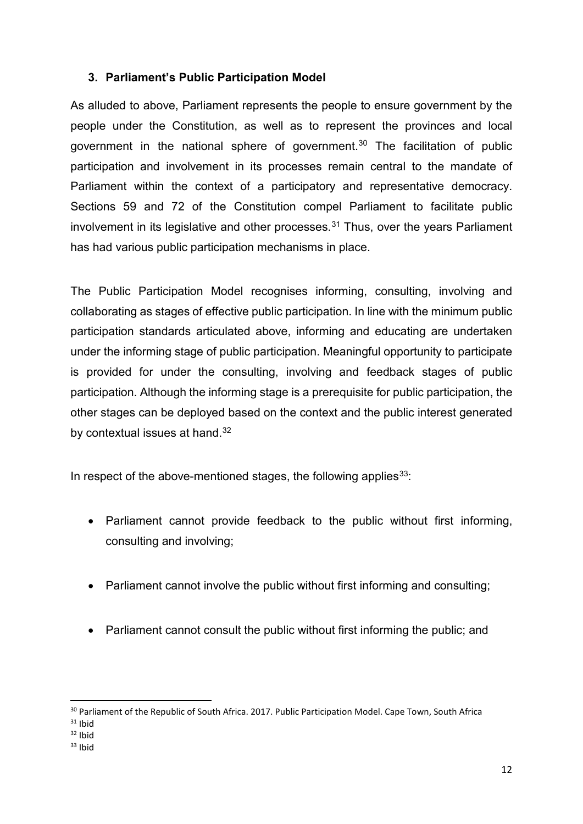### **3. Parliament's Public Participation Model**

As alluded to above, Parliament represents the people to ensure government by the people under the Constitution, as well as to represent the provinces and local government in the national sphere of government.<sup>[30](#page-11-0)</sup> The facilitation of public participation and involvement in its processes remain central to the mandate of Parliament within the context of a participatory and representative democracy. Sections 59 and 72 of the Constitution compel Parliament to facilitate public involvement in its legislative and other processes. $31$  Thus, over the years Parliament has had various public participation mechanisms in place.

The Public Participation Model recognises informing, consulting, involving and collaborating as stages of effective public participation. In line with the minimum public participation standards articulated above, informing and educating are undertaken under the informing stage of public participation. Meaningful opportunity to participate is provided for under the consulting, involving and feedback stages of public participation. Although the informing stage is a prerequisite for public participation, the other stages can be deployed based on the context and the public interest generated by contextual issues at hand.<sup>[32](#page-11-2)</sup>

In respect of the above-mentioned stages, the following applies  $33$ :

- Parliament cannot provide feedback to the public without first informing, consulting and involving;
- Parliament cannot involve the public without first informing and consulting;
- Parliament cannot consult the public without first informing the public; and

<span id="page-11-0"></span><sup>&</sup>lt;sup>30</sup> Parliament of the Republic of South Africa. 2017. Public Participation Model. Cape Town, South Africa

<span id="page-11-1"></span> $31$  Ibid

<span id="page-11-2"></span> $32$  Ibid

<span id="page-11-3"></span> $33$  Ibid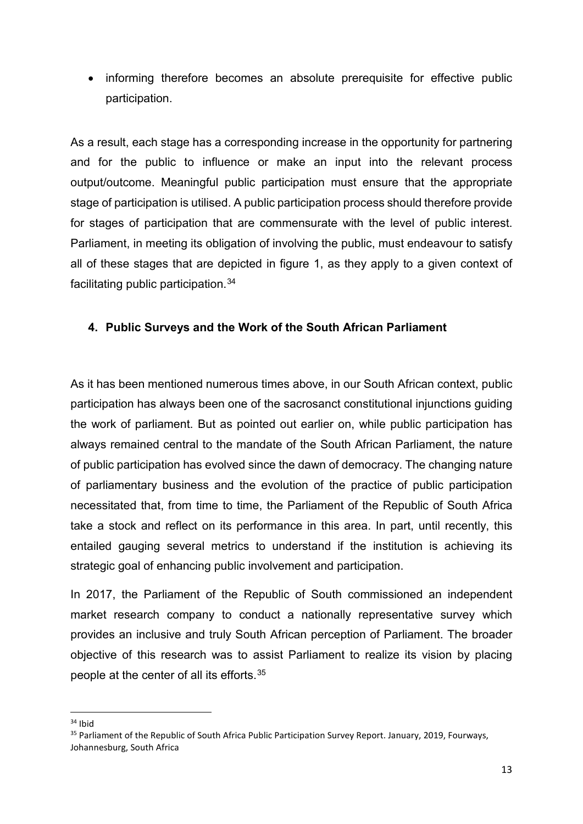• informing therefore becomes an absolute prerequisite for effective public participation.

As a result, each stage has a corresponding increase in the opportunity for partnering and for the public to influence or make an input into the relevant process output/outcome. Meaningful public participation must ensure that the appropriate stage of participation is utilised. A public participation process should therefore provide for stages of participation that are commensurate with the level of public interest. Parliament, in meeting its obligation of involving the public, must endeavour to satisfy all of these stages that are depicted in figure 1, as they apply to a given context of facilitating public participation.[34](#page-12-0)

#### **4. Public Surveys and the Work of the South African Parliament**

As it has been mentioned numerous times above, in our South African context, public participation has always been one of the sacrosanct constitutional injunctions guiding the work of parliament. But as pointed out earlier on, while public participation has always remained central to the mandate of the South African Parliament, the nature of public participation has evolved since the dawn of democracy. The changing nature of parliamentary business and the evolution of the practice of public participation necessitated that, from time to time, the Parliament of the Republic of South Africa take a stock and reflect on its performance in this area. In part, until recently, this entailed gauging several metrics to understand if the institution is achieving its strategic goal of enhancing public involvement and participation.

In 2017, the Parliament of the Republic of South commissioned an independent market research company to conduct a nationally representative survey which provides an inclusive and truly South African perception of Parliament. The broader objective of this research was to assist Parliament to realize its vision by placing people at the center of all its efforts.[35](#page-12-1)

<span id="page-12-0"></span> $34$  Ibid

<span id="page-12-1"></span><sup>&</sup>lt;sup>35</sup> Parliament of the Republic of South Africa Public Participation Survey Report. January, 2019, Fourways, Johannesburg, South Africa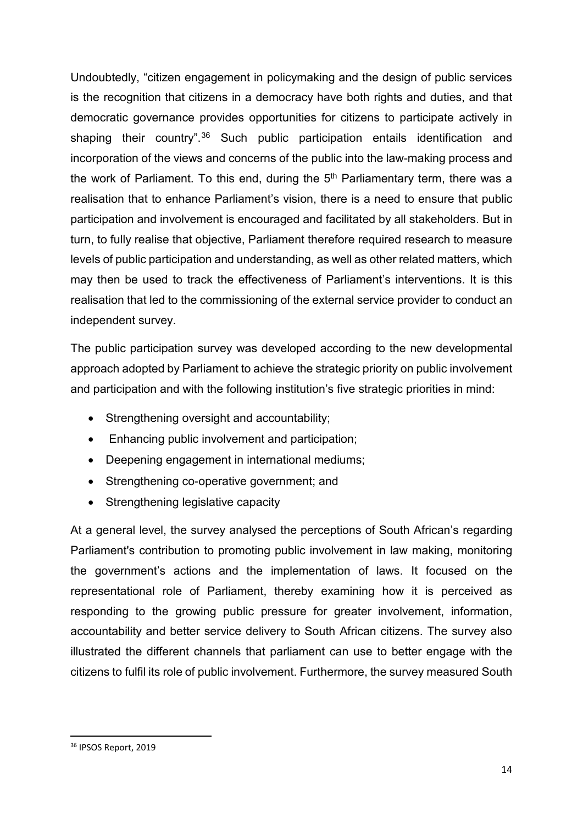Undoubtedly, "citizen engagement in policymaking and the design of public services is the recognition that citizens in a democracy have both rights and duties, and that democratic governance provides opportunities for citizens to participate actively in shaping their country".<sup>[36](#page-13-0)</sup> Such public participation entails identification and incorporation of the views and concerns of the public into the law-making process and the work of Parliament. To this end, during the  $5<sup>th</sup>$  Parliamentary term, there was a realisation that to enhance Parliament's vision, there is a need to ensure that public participation and involvement is encouraged and facilitated by all stakeholders. But in turn, to fully realise that objective, Parliament therefore required research to measure levels of public participation and understanding, as well as other related matters, which may then be used to track the effectiveness of Parliament's interventions. It is this realisation that led to the commissioning of the external service provider to conduct an independent survey.

The public participation survey was developed according to the new developmental approach adopted by Parliament to achieve the strategic priority on public involvement and participation and with the following institution's five strategic priorities in mind:

- Strengthening oversight and accountability;
- Enhancing public involvement and participation;
- Deepening engagement in international mediums;
- Strengthening co-operative government; and
- Strengthening legislative capacity

At a general level, the survey analysed the perceptions of South African's regarding Parliament's contribution to promoting public involvement in law making, monitoring the government's actions and the implementation of laws. It focused on the representational role of Parliament, thereby examining how it is perceived as responding to the growing public pressure for greater involvement, information, accountability and better service delivery to South African citizens. The survey also illustrated the different channels that parliament can use to better engage with the citizens to fulfil its role of public involvement. Furthermore, the survey measured South

<span id="page-13-0"></span> <sup>36</sup> IPSOS Report, 2019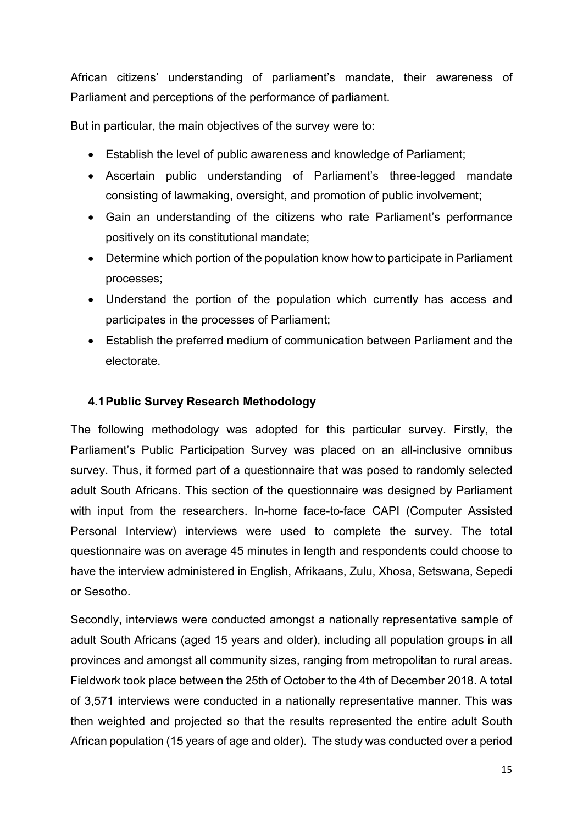African citizens' understanding of parliament's mandate, their awareness of Parliament and perceptions of the performance of parliament.

But in particular, the main objectives of the survey were to:

- Establish the level of public awareness and knowledge of Parliament;
- Ascertain public understanding of Parliament's three-legged mandate consisting of lawmaking, oversight, and promotion of public involvement;
- Gain an understanding of the citizens who rate Parliament's performance positively on its constitutional mandate;
- Determine which portion of the population know how to participate in Parliament processes;
- Understand the portion of the population which currently has access and participates in the processes of Parliament;
- Establish the preferred medium of communication between Parliament and the electorate.

#### **4.1Public Survey Research Methodology**

The following methodology was adopted for this particular survey. Firstly, the Parliament's Public Participation Survey was placed on an all-inclusive omnibus survey. Thus, it formed part of a questionnaire that was posed to randomly selected adult South Africans. This section of the questionnaire was designed by Parliament with input from the researchers. In-home face-to-face CAPI (Computer Assisted Personal Interview) interviews were used to complete the survey. The total questionnaire was on average 45 minutes in length and respondents could choose to have the interview administered in English, Afrikaans, Zulu, Xhosa, Setswana, Sepedi or Sesotho.

Secondly, interviews were conducted amongst a nationally representative sample of adult South Africans (aged 15 years and older), including all population groups in all provinces and amongst all community sizes, ranging from metropolitan to rural areas. Fieldwork took place between the 25th of October to the 4th of December 2018. A total of 3,571 interviews were conducted in a nationally representative manner. This was then weighted and projected so that the results represented the entire adult South African population (15 years of age and older). The study was conducted over a period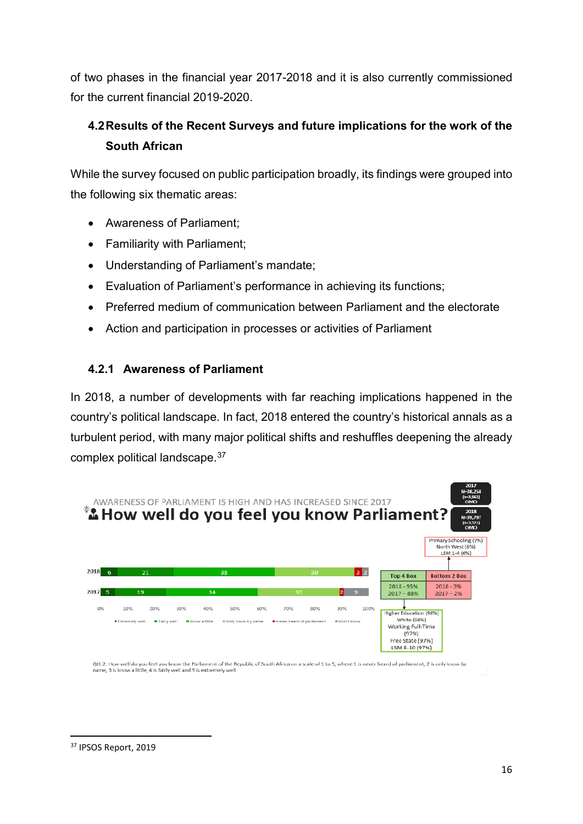of two phases in the financial year 2017-2018 and it is also currently commissioned for the current financial 2019-2020.

# **4.2Results of the Recent Surveys and future implications for the work of the South African**

While the survey focused on public participation broadly, its findings were grouped into the following six thematic areas:

- Awareness of Parliament;
- Familiarity with Parliament;
- Understanding of Parliament's mandate;
- Evaluation of Parliament's performance in achieving its functions;
- Preferred medium of communication between Parliament and the electorate
- Action and participation in processes or activities of Parliament

### **4.2.1 Awareness of Parliament**

In 2018, a number of developments with far reaching implications happened in the country's political landscape. In fact, 2018 entered the country's historical annals as a turbulent period, with many major political shifts and reshuffles deepening the already complex political landscape.[37](#page-15-0)



<span id="page-15-0"></span> <sup>37</sup> IPSOS Report, 2019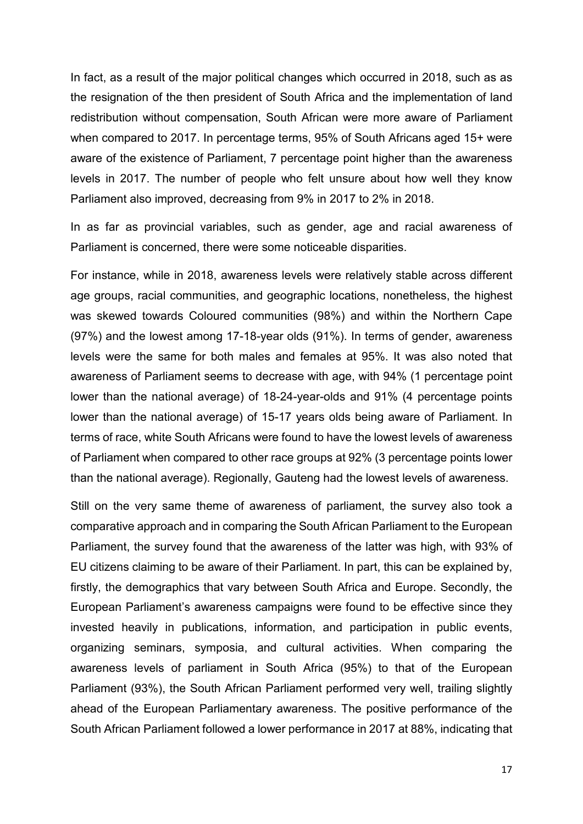In fact, as a result of the major political changes which occurred in 2018, such as as the resignation of the then president of South Africa and the implementation of land redistribution without compensation, South African were more aware of Parliament when compared to 2017. In percentage terms, 95% of South Africans aged 15+ were aware of the existence of Parliament, 7 percentage point higher than the awareness levels in 2017. The number of people who felt unsure about how well they know Parliament also improved, decreasing from 9% in 2017 to 2% in 2018.

In as far as provincial variables, such as gender, age and racial awareness of Parliament is concerned, there were some noticeable disparities.

For instance, while in 2018, awareness levels were relatively stable across different age groups, racial communities, and geographic locations, nonetheless, the highest was skewed towards Coloured communities (98%) and within the Northern Cape (97%) and the lowest among 17-18-year olds (91%). In terms of gender, awareness levels were the same for both males and females at 95%. It was also noted that awareness of Parliament seems to decrease with age, with 94% (1 percentage point lower than the national average) of 18-24-year-olds and 91% (4 percentage points lower than the national average) of 15-17 years olds being aware of Parliament. In terms of race, white South Africans were found to have the lowest levels of awareness of Parliament when compared to other race groups at 92% (3 percentage points lower than the national average). Regionally, Gauteng had the lowest levels of awareness.

Still on the very same theme of awareness of parliament, the survey also took a comparative approach and in comparing the South African Parliament to the European Parliament, the survey found that the awareness of the latter was high, with 93% of EU citizens claiming to be aware of their Parliament. In part, this can be explained by, firstly, the demographics that vary between South Africa and Europe. Secondly, the European Parliament's awareness campaigns were found to be effective since they invested heavily in publications, information, and participation in public events, organizing seminars, symposia, and cultural activities. When comparing the awareness levels of parliament in South Africa (95%) to that of the European Parliament (93%), the South African Parliament performed very well, trailing slightly ahead of the European Parliamentary awareness. The positive performance of the South African Parliament followed a lower performance in 2017 at 88%, indicating that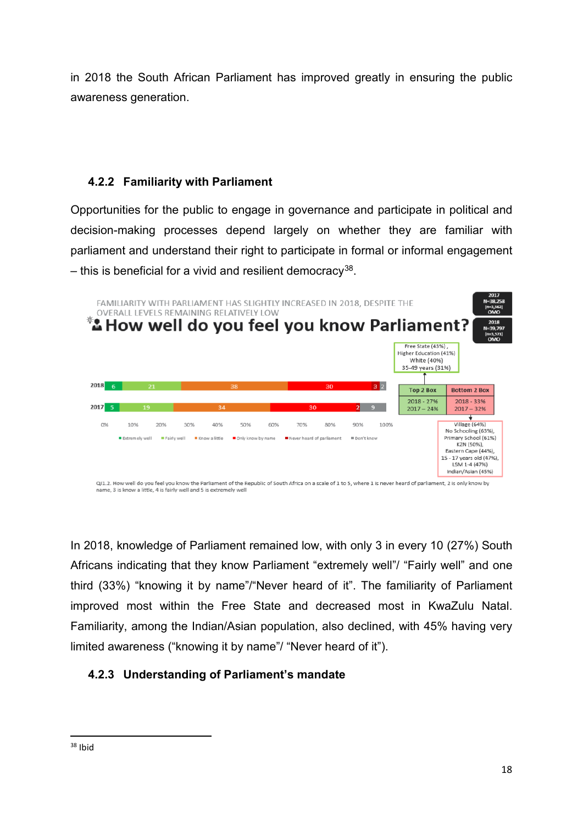in 2018 the South African Parliament has improved greatly in ensuring the public awareness generation.

## **4.2.2 Familiarity with Parliament**

Opportunities for the public to engage in governance and participate in political and decision-making processes depend largely on whether they are familiar with parliament and understand their right to participate in formal or informal engagement  $-$  this is beneficial for a vivid and resilient democracy<sup>38</sup>.



In 2018, knowledge of Parliament remained low, with only 3 in every 10 (27%) South Africans indicating that they know Parliament "extremely well"/ "Fairly well" and one third (33%) "knowing it by name"/"Never heard of it". The familiarity of Parliament improved most within the Free State and decreased most in KwaZulu Natal. Familiarity, among the Indian/Asian population, also declined, with 45% having very limited awareness ("knowing it by name"/ "Never heard of it").

## **4.2.3 Understanding of Parliament's mandate**

<span id="page-17-0"></span> $38$  Ibid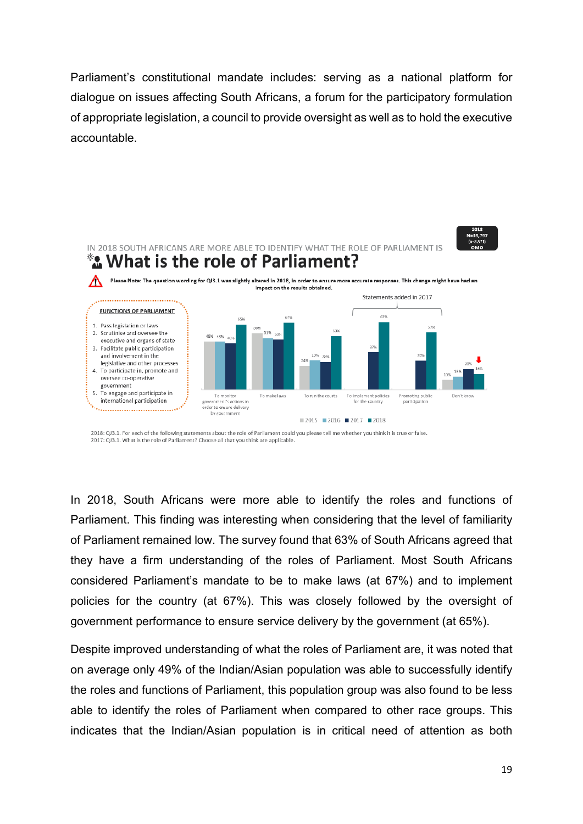Parliament's constitutional mandate includes: serving as a national platform for dialogue on issues affecting South Africans, a forum for the participatory formulation of appropriate legislation, a council to provide oversight as well as to hold the executive accountable.



<sup>2018:</sup> QJ3.1. For each of the following statements about the role of Parliament could you please tell me whether you think it is true or false. 2017: QJ3.1. What is the role of Parliament? Choose all that you think are applicable.

In 2018, South Africans were more able to identify the roles and functions of Parliament. This finding was interesting when considering that the level of familiarity of Parliament remained low. The survey found that 63% of South Africans agreed that they have a firm understanding of the roles of Parliament. Most South Africans considered Parliament's mandate to be to make laws (at 67%) and to implement policies for the country (at 67%). This was closely followed by the oversight of government performance to ensure service delivery by the government (at 65%).

Despite improved understanding of what the roles of Parliament are, it was noted that on average only 49% of the Indian/Asian population was able to successfully identify the roles and functions of Parliament, this population group was also found to be less able to identify the roles of Parliament when compared to other race groups. This indicates that the Indian/Asian population is in critical need of attention as both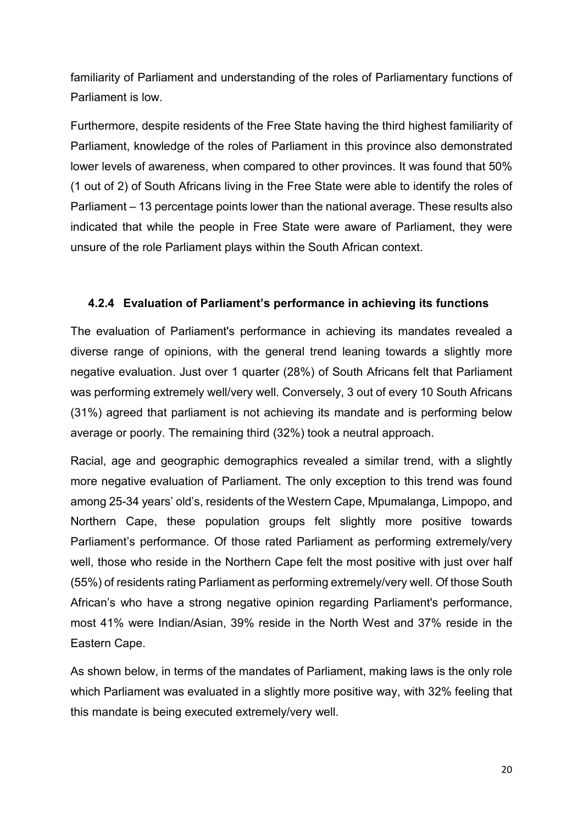familiarity of Parliament and understanding of the roles of Parliamentary functions of Parliament is low.

Furthermore, despite residents of the Free State having the third highest familiarity of Parliament, knowledge of the roles of Parliament in this province also demonstrated lower levels of awareness, when compared to other provinces. It was found that 50% (1 out of 2) of South Africans living in the Free State were able to identify the roles of Parliament – 13 percentage points lower than the national average. These results also indicated that while the people in Free State were aware of Parliament, they were unsure of the role Parliament plays within the South African context.

### **4.2.4 Evaluation of Parliament's performance in achieving its functions**

The evaluation of Parliament's performance in achieving its mandates revealed a diverse range of opinions, with the general trend leaning towards a slightly more negative evaluation. Just over 1 quarter (28%) of South Africans felt that Parliament was performing extremely well/very well. Conversely, 3 out of every 10 South Africans (31%) agreed that parliament is not achieving its mandate and is performing below average or poorly. The remaining third (32%) took a neutral approach.

Racial, age and geographic demographics revealed a similar trend, with a slightly more negative evaluation of Parliament. The only exception to this trend was found among 25-34 years' old's, residents of the Western Cape, Mpumalanga, Limpopo, and Northern Cape, these population groups felt slightly more positive towards Parliament's performance. Of those rated Parliament as performing extremely/very well, those who reside in the Northern Cape felt the most positive with just over half (55%) of residents rating Parliament as performing extremely/very well. Of those South African's who have a strong negative opinion regarding Parliament's performance, most 41% were Indian/Asian, 39% reside in the North West and 37% reside in the Eastern Cape.

As shown below, in terms of the mandates of Parliament, making laws is the only role which Parliament was evaluated in a slightly more positive way, with 32% feeling that this mandate is being executed extremely/very well.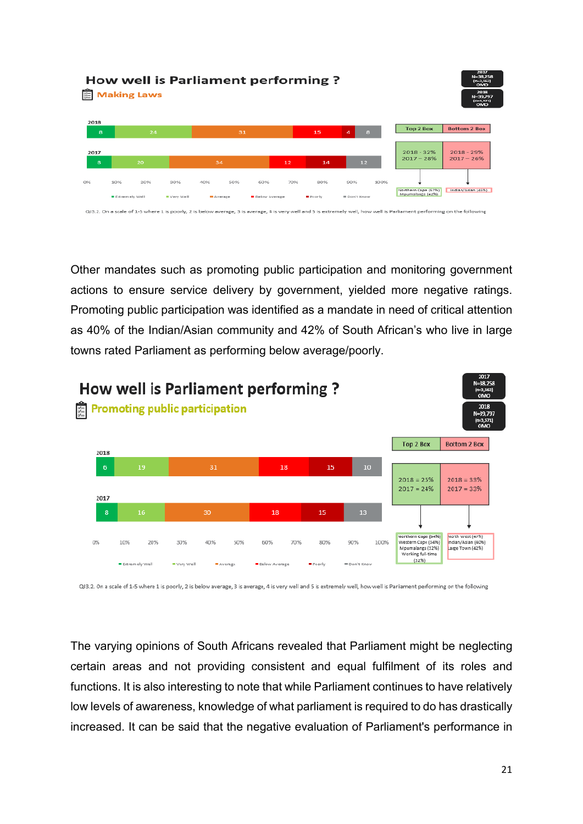|                                                                                                                                                                          | How well is Parliament performing?<br><b>Making Laws</b> |     |                    |                  |     |                             |     |                  |                           |      |                                         |                              |  |
|--------------------------------------------------------------------------------------------------------------------------------------------------------------------------|----------------------------------------------------------|-----|--------------------|------------------|-----|-----------------------------|-----|------------------|---------------------------|------|-----------------------------------------|------------------------------|--|
| 2018                                                                                                                                                                     |                                                          |     |                    |                  |     |                             |     |                  |                           |      | Top 2 Box                               | <b>Bottom 2 Box</b>          |  |
| 8                                                                                                                                                                        |                                                          | 24  |                    |                  | 31  |                             |     | 15               | $\overline{a}$            | 8    |                                         |                              |  |
| 2017<br>8                                                                                                                                                                |                                                          | 20  |                    | 34               |     |                             | 12  | 14               | 12                        |      | $2018 - 32%$<br>$2017 - 28%$            | $2018 - 29%$<br>$2017 - 26%$ |  |
| O96                                                                                                                                                                      | 10%<br>Extrem elv Well                                   | 20% | 30%<br>= Very Well | 40%<br>= Average | 50% | 60%<br><b>Below Average</b> | 70% | 80%<br>■ Po orly | 90%<br><b>EDon't Know</b> | 100% | Northern Cape (57%)<br>Mpumalanga (42%) | Indian/Asian (45%)           |  |
| QJ3.2. On a scale of 1-5 where 1 is poorly, 2 is below average, 3 is average, 4 is very well and 5 is extremely well, how well is Parliament performing on the following |                                                          |     |                    |                  |     |                             |     |                  |                           |      |                                         |                              |  |

Other mandates such as promoting public participation and monitoring government actions to ensure service delivery by government, yielded more negative ratings. Promoting public participation was identified as a mandate in need of critical attention as 40% of the Indian/Asian community and 42% of South African's who live in large towns rated Parliament as performing below average/poorly.



QJ3.2. On a scale of 1-5 where 1 is poorly. 2 is below average. 3 is average. 4 is very well and 5 is extremely well. how well is Parliament performing on the following

The varying opinions of South Africans revealed that Parliament might be neglecting certain areas and not providing consistent and equal fulfilment of its roles and functions. It is also interesting to note that while Parliament continues to have relatively low levels of awareness, knowledge of what parliament is required to do has drastically increased. It can be said that the negative evaluation of Parliament's performance in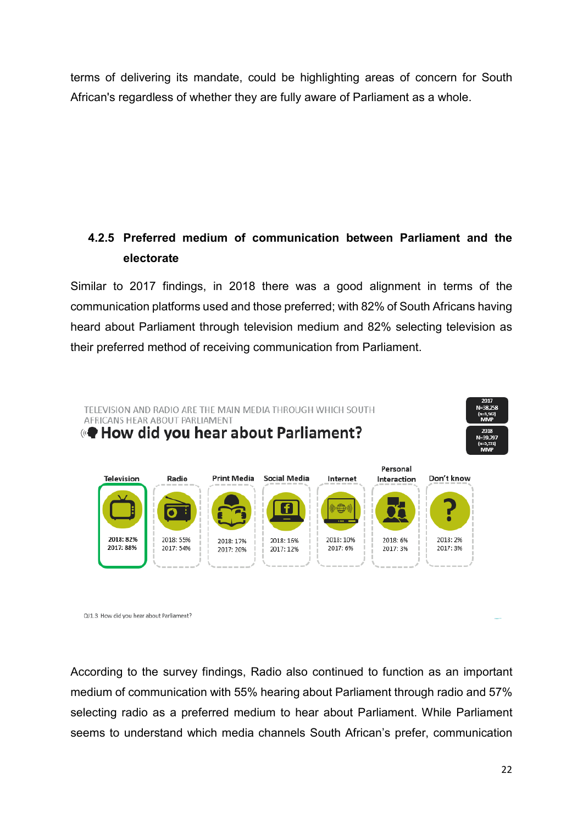terms of delivering its mandate, could be highlighting areas of concern for South African's regardless of whether they are fully aware of Parliament as a whole.

# **4.2.5 Preferred medium of communication between Parliament and the electorate**

Similar to 2017 findings, in 2018 there was a good alignment in terms of the communication platforms used and those preferred; with 82% of South Africans having heard about Parliament through television medium and 82% selecting television as their preferred method of receiving communication from Parliament.



QJ1.3. How did you hear about Parliament?

According to the survey findings, Radio also continued to function as an important medium of communication with 55% hearing about Parliament through radio and 57% selecting radio as a preferred medium to hear about Parliament. While Parliament seems to understand which media channels South African's prefer, communication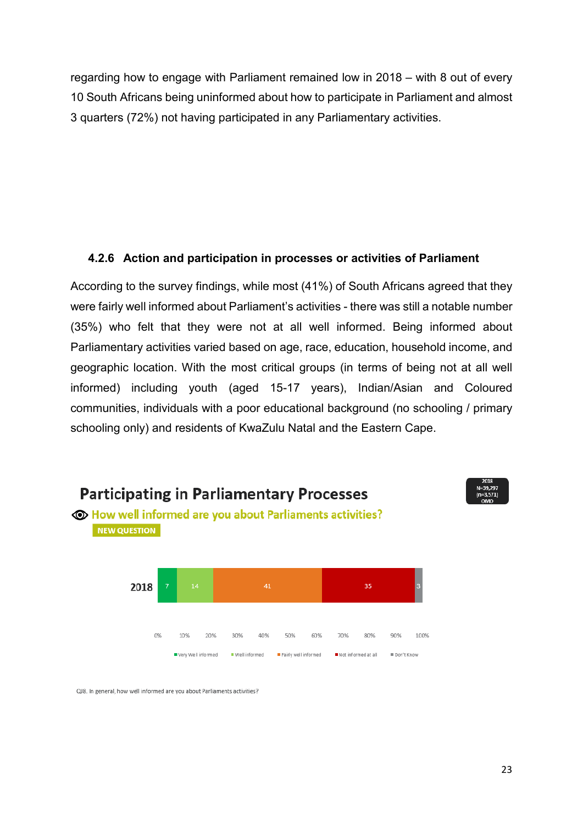regarding how to engage with Parliament remained low in 2018 – with 8 out of every 10 South Africans being uninformed about how to participate in Parliament and almost 3 quarters (72%) not having participated in any Parliamentary activities.

## **4.2.6 Action and participation in processes or activities of Parliament**

According to the survey findings, while most (41%) of South Africans agreed that they were fairly well informed about Parliament's activities - there was still a notable number (35%) who felt that they were not at all well informed. Being informed about Parliamentary activities varied based on age, race, education, household income, and geographic location. With the most critical groups (in terms of being not at all well informed) including youth (aged 15-17 years), Indian/Asian and Coloured communities, individuals with a poor educational background (no schooling / primary schooling only) and residents of KwaZulu Natal and the Eastern Cape.



QJ8. In general, how well informed are you about Parliaments activities?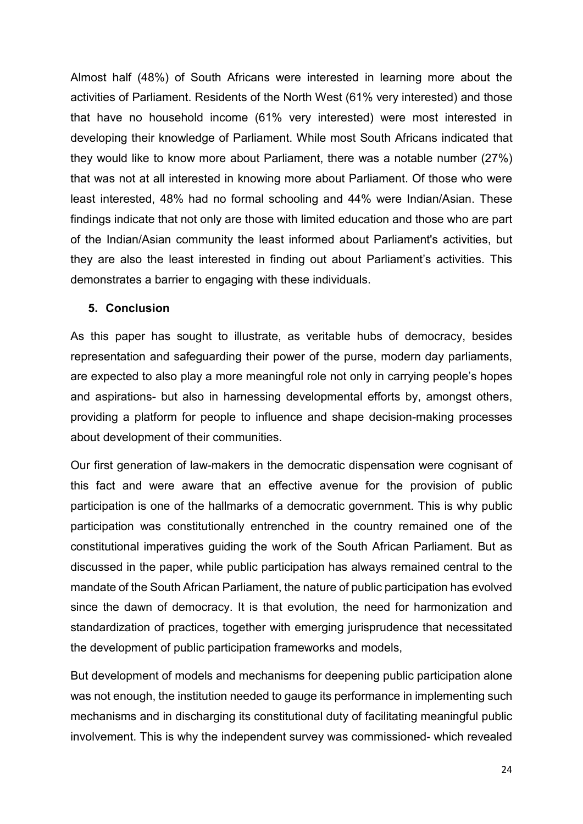Almost half (48%) of South Africans were interested in learning more about the activities of Parliament. Residents of the North West (61% very interested) and those that have no household income (61% very interested) were most interested in developing their knowledge of Parliament. While most South Africans indicated that they would like to know more about Parliament, there was a notable number (27%) that was not at all interested in knowing more about Parliament. Of those who were least interested, 48% had no formal schooling and 44% were Indian/Asian. These findings indicate that not only are those with limited education and those who are part of the Indian/Asian community the least informed about Parliament's activities, but they are also the least interested in finding out about Parliament's activities. This demonstrates a barrier to engaging with these individuals.

#### **5. Conclusion**

As this paper has sought to illustrate, as veritable hubs of democracy, besides representation and safeguarding their power of the purse, modern day parliaments, are expected to also play a more meaningful role not only in carrying people's hopes and aspirations- but also in harnessing developmental efforts by, amongst others, providing a platform for people to influence and shape decision-making processes about development of their communities.

Our first generation of law-makers in the democratic dispensation were cognisant of this fact and were aware that an effective avenue for the provision of public participation is one of the hallmarks of a democratic government. This is why public participation was constitutionally entrenched in the country remained one of the constitutional imperatives guiding the work of the South African Parliament. But as discussed in the paper, while public participation has always remained central to the mandate of the South African Parliament, the nature of public participation has evolved since the dawn of democracy. It is that evolution, the need for harmonization and standardization of practices, together with emerging jurisprudence that necessitated the development of public participation frameworks and models,

But development of models and mechanisms for deepening public participation alone was not enough, the institution needed to gauge its performance in implementing such mechanisms and in discharging its constitutional duty of facilitating meaningful public involvement. This is why the independent survey was commissioned- which revealed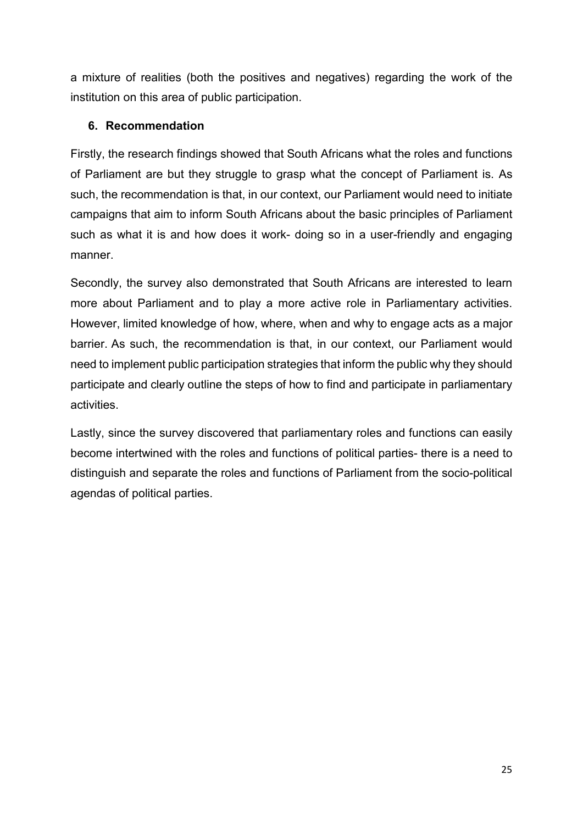a mixture of realities (both the positives and negatives) regarding the work of the institution on this area of public participation.

### **6. Recommendation**

Firstly, the research findings showed that South Africans what the roles and functions of Parliament are but they struggle to grasp what the concept of Parliament is. As such, the recommendation is that, in our context, our Parliament would need to initiate campaigns that aim to inform South Africans about the basic principles of Parliament such as what it is and how does it work- doing so in a user-friendly and engaging manner.

Secondly, the survey also demonstrated that South Africans are interested to learn more about Parliament and to play a more active role in Parliamentary activities. However, limited knowledge of how, where, when and why to engage acts as a major barrier. As such, the recommendation is that, in our context, our Parliament would need to implement public participation strategies that inform the public why they should participate and clearly outline the steps of how to find and participate in parliamentary activities.

Lastly, since the survey discovered that parliamentary roles and functions can easily become intertwined with the roles and functions of political parties- there is a need to distinguish and separate the roles and functions of Parliament from the socio-political agendas of political parties.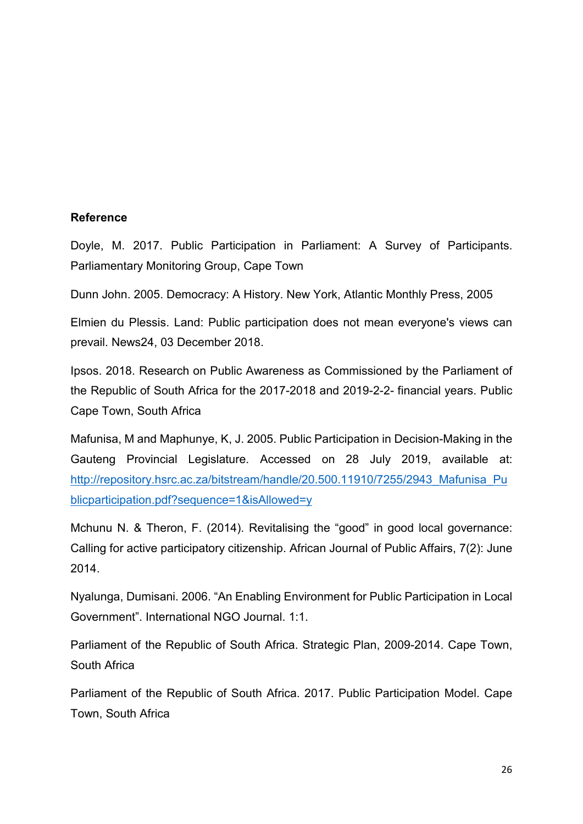#### **Reference**

Doyle, M. 2017. Public Participation in Parliament: A Survey of Participants. Parliamentary Monitoring Group, Cape Town

Dunn John. 2005. Democracy: A History. New York, Atlantic Monthly Press, 2005

Elmien du Plessis. Land: Public participation does not mean everyone's views can prevail. News24, 03 December 2018.

Ipsos. 2018. Research on Public Awareness as Commissioned by the Parliament of the Republic of South Africa for the 2017-2018 and 2019-2-2- financial years. Public Cape Town, South Africa

Mafunisa, M and Maphunye, K, J. 2005. Public Participation in Decision-Making in the Gauteng Provincial Legislature. Accessed on 28 July 2019, available at: [http://repository.hsrc.ac.za/bitstream/handle/20.500.11910/7255/2943\\_Mafunisa\\_Pu](http://repository.hsrc.ac.za/bitstream/handle/20.500.11910/7255/2943_Mafunisa_Publicparticipation.pdf?sequence=1&isAllowed=y) [blicparticipation.pdf?sequence=1&isAllowed=y](http://repository.hsrc.ac.za/bitstream/handle/20.500.11910/7255/2943_Mafunisa_Publicparticipation.pdf?sequence=1&isAllowed=y)

Mchunu N. & Theron, F. (2014). Revitalising the "good" in good local governance: Calling for active participatory citizenship. African Journal of Public Affairs, 7(2): June 2014.

Nyalunga, Dumisani. 2006. "An Enabling Environment for Public Participation in Local Government". International NGO Journal. 1:1.

Parliament of the Republic of South Africa. Strategic Plan, 2009-2014. Cape Town, South Africa

Parliament of the Republic of South Africa. 2017. Public Participation Model. Cape Town, South Africa